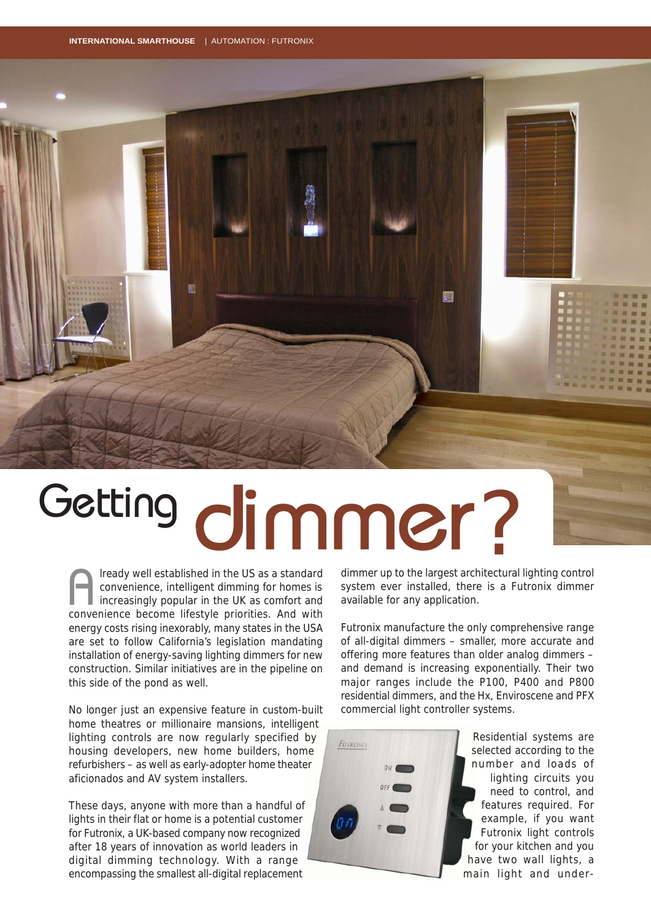**INTERNATIONAL SMARTHOUSE** | AUTOMATION : FUTRONIX



## Getting<br>
Getting<br>
Getting of in the US as a standard<br>
Geonvenience, intelligent dimming for homes is system ever installed, there is a Fu

lready well established in the US as a standard convenience, intelligent dimming for homes is increasingly popular in the UK as comfort and convenience become lifestyle priorities. And with energy costs rising inexorably, many states in the USA are set to follow California's legislation mandating installation of energy-saving lighting dimmers for new construction. Similar initiatives are in the pipeline on this side of the pond as well.  $\sum_{\text{convex}}$ 

No longer just an expensive feature in custom-built home theatres or millionaire mansions, intelligent lighting controls are now regularly specified by housing developers, new home builders, home refurbishers – as well as early-adopter home theater aficionados and AV system installers.

These days, anyone with more than a handful of lights in their flat or home is a potential customer for Futronix, a UK-based company now recognized after 18 years of innovation as world leaders in digital dimming technology. With a range encompassing the smallest all-digital replacement

dimmer up to the largest architectural lighting control system ever installed, there is a Futronix dimmer available for any application.

Futronix manufacture the only comprehensive range of all-digital dimmers – smaller, more accurate and offering more features than older analog dimmers – and demand is increasing exponentially. Their two major ranges include the P100, P400 and P800 residential dimmers, and the Hx, Enviroscene and PFX commercial light controller systems.



Residential systems are selected according to the number and loads of lighting circuits you need to control, and features required. For example, if you want Futronix light controls for your kitchen and you have two wall lights, a main light and under